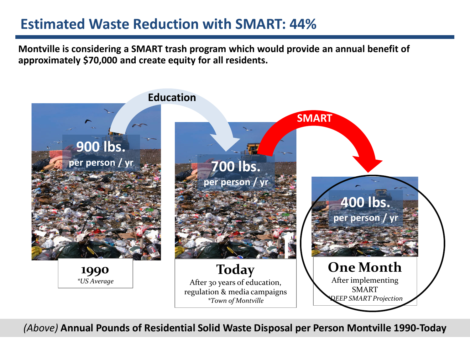## **Estimated Waste Reduction with SMART: 44%**

**Montville is considering a SMART trash program which would provide an annual benefit of approximately \$70,000 and create equity for all residents.** 



*(Above)* **Annual Pounds of Residential Solid Waste Disposal per Person Montville 1990-Today**